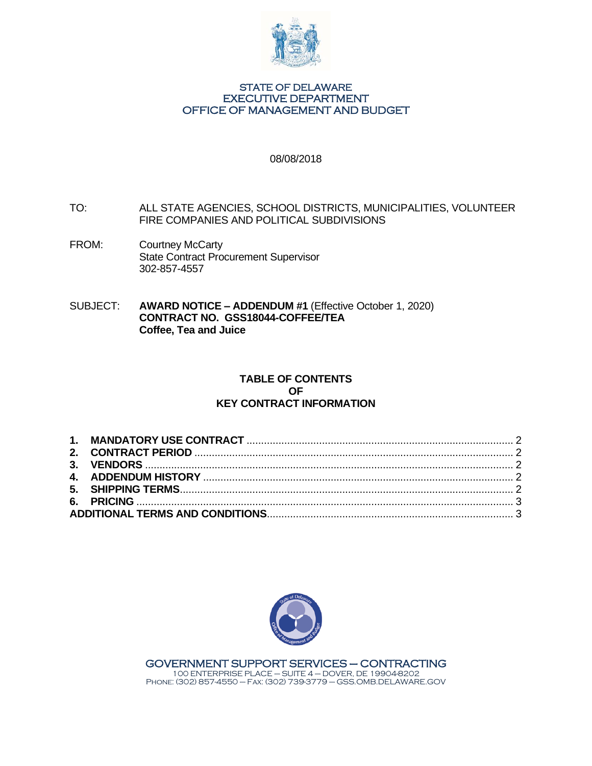

#### STATE OF DELAWARE EXECUTIVE DEPARTMENT OFFICE OF MANAGEMENT AND BUDGET

### 08/08/2018

- TO: ALL STATE AGENCIES, SCHOOL DISTRICTS, MUNICIPALITIES, VOLUNTEER FIRE COMPANIES AND POLITICAL SUBDIVISIONS
- FROM: Courtney McCarty State Contract Procurement Supervisor 302-857-4557
- SUBJECT: **AWARD NOTICE – ADDENDUM #1** (Effective October 1, 2020) **CONTRACT NO. GSS18044-COFFEE/TEA Coffee, Tea and Juice**

# **TABLE OF CONTENTS OF KEY CONTRACT INFORMATION**

<span id="page-0-0"></span>



GOVERNMENT SUPPORT SERVICES – CONTRACTING 100 ENTERPRISE PLACE – SUITE 4 – DOVER, DE 19904-8202 Phone: (302) 857-4550 – Fax: (302) 739-3779 – GSS.OMB.DELAWARE.GOV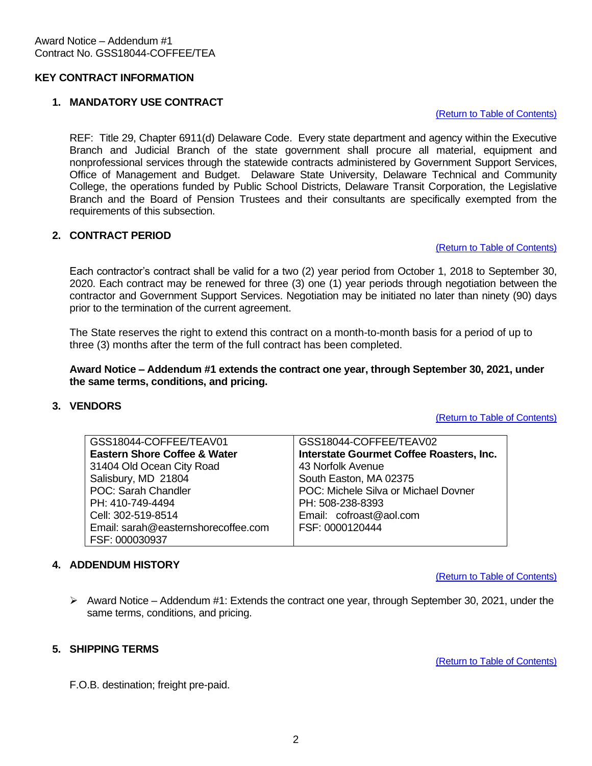# **KEY CONTRACT INFORMATION**

# <span id="page-1-0"></span>**1. MANDATORY USE CONTRACT**

#### [\(Return to Table of Contents\)](#page-0-0)

REF: Title 29, Chapter 6911(d) Delaware Code. Every state department and agency within the Executive Branch and Judicial Branch of the state government shall procure all material, equipment and nonprofessional services through the statewide contracts administered by Government Support Services, Office of Management and Budget. Delaware State University, Delaware Technical and Community College, the operations funded by Public School Districts, Delaware Transit Corporation, the Legislative Branch and the Board of Pension Trustees and their consultants are specifically exempted from the requirements of this subsection.

# <span id="page-1-1"></span>**2. CONTRACT PERIOD**

#### [\(Return to Table of Contents\)](#page-0-0)

Each contractor's contract shall be valid for a two (2) year period from October 1, 2018 to September 30, 2020. Each contract may be renewed for three (3) one (1) year periods through negotiation between the contractor and Government Support Services. Negotiation may be initiated no later than ninety (90) days prior to the termination of the current agreement.

The State reserves the right to extend this contract on a month-to-month basis for a period of up to three (3) months after the term of the full contract has been completed.

### **Award Notice – Addendum #1 extends the contract one year, through September 30, 2021, under the same terms, conditions, and pricing.**

### <span id="page-1-2"></span>**3. VENDORS**

[\(Return to Table of Contents\)](#page-0-0)

| GSS18044-COFFEE/TEAV01                  | GSS18044-COFFEE/TEAV02                   |
|-----------------------------------------|------------------------------------------|
| <b>Eastern Shore Coffee &amp; Water</b> | Interstate Gourmet Coffee Roasters, Inc. |
| 31404 Old Ocean City Road               | 43 Norfolk Avenue                        |
| Salisbury, MD 21804                     | South Easton, MA 02375                   |
| POC: Sarah Chandler                     | POC: Michele Silva or Michael Dovner     |
| PH: 410-749-4494                        | PH: 508-238-8393                         |
| Cell: 302-519-8514                      | Email: cofroast@aol.com                  |
| Email: sarah@easternshorecoffee.com     | FSF: 0000120444                          |
| FSF: 000030937                          |                                          |

### <span id="page-1-3"></span>**4. ADDENDUM HISTORY**

[\(Return to Table of Contents\)](#page-0-0)

 $\triangleright$  Award Notice – Addendum #1: Extends the contract one year, through September 30, 2021, under the same terms, conditions, and pricing.

## <span id="page-1-4"></span>**5. SHIPPING TERMS**

[\(Return to Table of Contents\)](#page-0-0)

F.O.B. destination; freight pre-paid.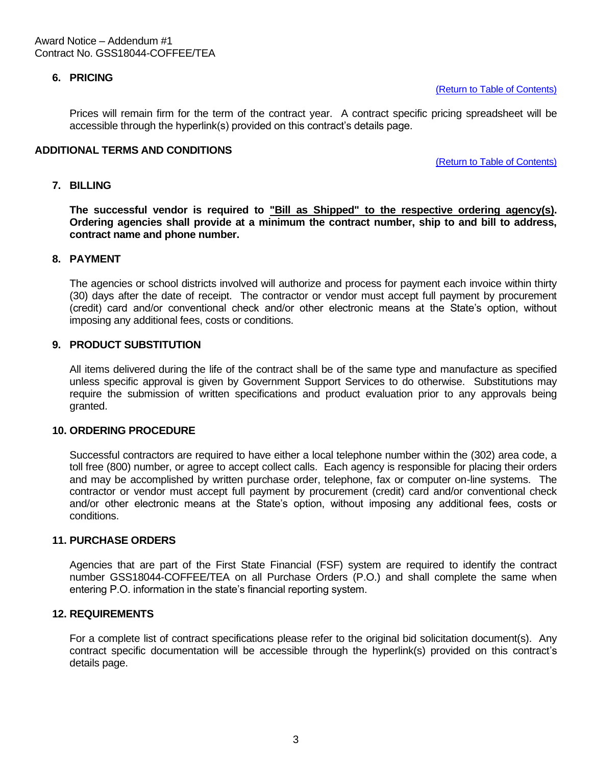# <span id="page-2-0"></span>**6. PRICING**

[\(Return to Table of Contents\)](#page-0-0)

Prices will remain firm for the term of the contract year. A contract specific pricing spreadsheet will be accessible through the hyperlink(s) provided on this contract's details page.

### <span id="page-2-1"></span>**ADDITIONAL TERMS AND CONDITIONS**

[\(Return to Table of Contents\)](#page-0-0)

#### **7. BILLING**

The successful vendor is required to "Bill as Shipped" to the respective ordering agency(s). **Ordering agencies shall provide at a minimum the contract number, ship to and bill to address, contract name and phone number.**

#### **8. PAYMENT**

The agencies or school districts involved will authorize and process for payment each invoice within thirty (30) days after the date of receipt. The contractor or vendor must accept full payment by procurement (credit) card and/or conventional check and/or other electronic means at the State's option, without imposing any additional fees, costs or conditions.

### **9. PRODUCT SUBSTITUTION**

All items delivered during the life of the contract shall be of the same type and manufacture as specified unless specific approval is given by Government Support Services to do otherwise. Substitutions may require the submission of written specifications and product evaluation prior to any approvals being granted.

#### **10. ORDERING PROCEDURE**

Successful contractors are required to have either a local telephone number within the (302) area code, a toll free (800) number, or agree to accept collect calls. Each agency is responsible for placing their orders and may be accomplished by written purchase order, telephone, fax or computer on-line systems. The contractor or vendor must accept full payment by procurement (credit) card and/or conventional check and/or other electronic means at the State's option, without imposing any additional fees, costs or conditions.

## **11. PURCHASE ORDERS**

Agencies that are part of the First State Financial (FSF) system are required to identify the contract number GSS18044-COFFEE/TEA on all Purchase Orders (P.O.) and shall complete the same when entering P.O. information in the state's financial reporting system.

### **12. REQUIREMENTS**

For a complete list of contract specifications please refer to the original bid solicitation document(s). Any contract specific documentation will be accessible through the hyperlink(s) provided on this contract's details page.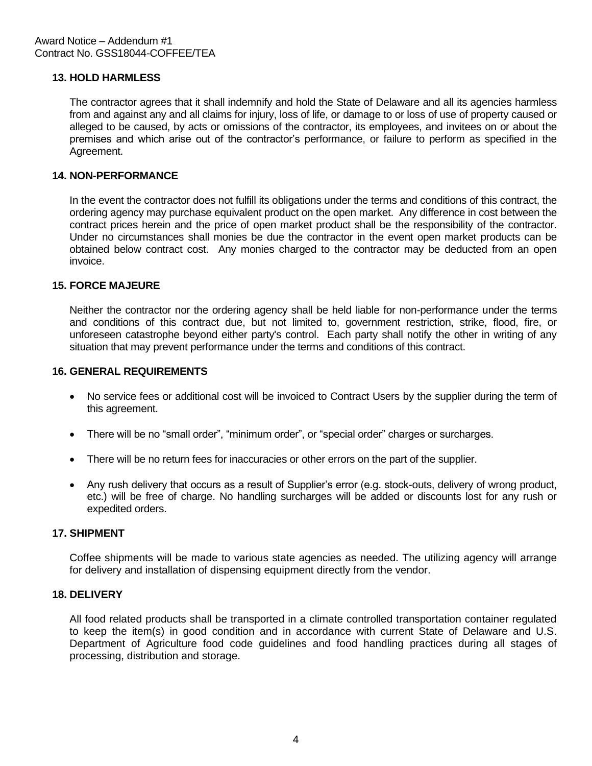# **13. HOLD HARMLESS**

The contractor agrees that it shall indemnify and hold the State of Delaware and all its agencies harmless from and against any and all claims for injury, loss of life, or damage to or loss of use of property caused or alleged to be caused, by acts or omissions of the contractor, its employees, and invitees on or about the premises and which arise out of the contractor's performance, or failure to perform as specified in the Agreement.

# **14. NON-PERFORMANCE**

In the event the contractor does not fulfill its obligations under the terms and conditions of this contract, the ordering agency may purchase equivalent product on the open market. Any difference in cost between the contract prices herein and the price of open market product shall be the responsibility of the contractor. Under no circumstances shall monies be due the contractor in the event open market products can be obtained below contract cost. Any monies charged to the contractor may be deducted from an open invoice.

# **15. FORCE MAJEURE**

Neither the contractor nor the ordering agency shall be held liable for non-performance under the terms and conditions of this contract due, but not limited to, government restriction, strike, flood, fire, or unforeseen catastrophe beyond either party's control. Each party shall notify the other in writing of any situation that may prevent performance under the terms and conditions of this contract.

### **16. GENERAL REQUIREMENTS**

- No service fees or additional cost will be invoiced to Contract Users by the supplier during the term of this agreement.
- There will be no "small order", "minimum order", or "special order" charges or surcharges.
- There will be no return fees for inaccuracies or other errors on the part of the supplier.
- Any rush delivery that occurs as a result of Supplier's error (e.g. stock-outs, delivery of wrong product, etc.) will be free of charge. No handling surcharges will be added or discounts lost for any rush or expedited orders.

# **17. SHIPMENT**

Coffee shipments will be made to various state agencies as needed. The utilizing agency will arrange for delivery and installation of dispensing equipment directly from the vendor.

#### **18. DELIVERY**

All food related products shall be transported in a climate controlled transportation container regulated to keep the item(s) in good condition and in accordance with current State of Delaware and U.S. Department of Agriculture food code guidelines and food handling practices during all stages of processing, distribution and storage.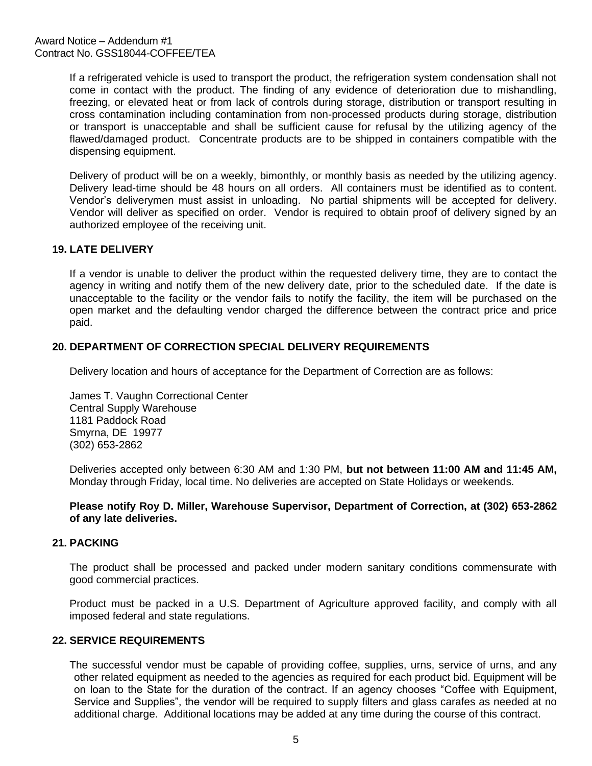If a refrigerated vehicle is used to transport the product, the refrigeration system condensation shall not come in contact with the product. The finding of any evidence of deterioration due to mishandling, freezing, or elevated heat or from lack of controls during storage, distribution or transport resulting in cross contamination including contamination from non-processed products during storage, distribution or transport is unacceptable and shall be sufficient cause for refusal by the utilizing agency of the flawed/damaged product. Concentrate products are to be shipped in containers compatible with the dispensing equipment.

Delivery of product will be on a weekly, bimonthly, or monthly basis as needed by the utilizing agency. Delivery lead-time should be 48 hours on all orders. All containers must be identified as to content. Vendor's deliverymen must assist in unloading. No partial shipments will be accepted for delivery. Vendor will deliver as specified on order. Vendor is required to obtain proof of delivery signed by an authorized employee of the receiving unit.

# **19. LATE DELIVERY**

If a vendor is unable to deliver the product within the requested delivery time, they are to contact the agency in writing and notify them of the new delivery date, prior to the scheduled date. If the date is unacceptable to the facility or the vendor fails to notify the facility, the item will be purchased on the open market and the defaulting vendor charged the difference between the contract price and price paid.

# **20. DEPARTMENT OF CORRECTION SPECIAL DELIVERY REQUIREMENTS**

Delivery location and hours of acceptance for the Department of Correction are as follows:

James T. Vaughn Correctional Center Central Supply Warehouse 1181 Paddock Road Smyrna, DE 19977 (302) 653-2862

Deliveries accepted only between 6:30 AM and 1:30 PM, **but not between 11:00 AM and 11:45 AM,**  Monday through Friday, local time. No deliveries are accepted on State Holidays or weekends.

**Please notify Roy D. Miller, Warehouse Supervisor, Department of Correction, at (302) 653-2862 of any late deliveries.**

# **21. PACKING**

The product shall be processed and packed under modern sanitary conditions commensurate with good commercial practices.

Product must be packed in a U.S. Department of Agriculture approved facility, and comply with all imposed federal and state regulations.

# **22. SERVICE REQUIREMENTS**

The successful vendor must be capable of providing coffee, supplies, urns, service of urns, and any other related equipment as needed to the agencies as required for each product bid. Equipment will be on loan to the State for the duration of the contract. If an agency chooses "Coffee with Equipment, Service and Supplies", the vendor will be required to supply filters and glass carafes as needed at no additional charge. Additional locations may be added at any time during the course of this contract.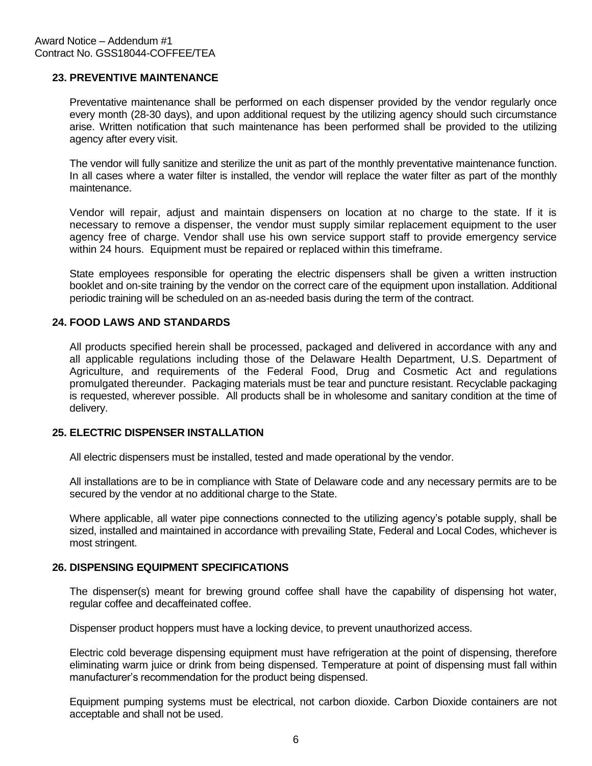# **23. PREVENTIVE MAINTENANCE**

Preventative maintenance shall be performed on each dispenser provided by the vendor regularly once every month (28-30 days), and upon additional request by the utilizing agency should such circumstance arise. Written notification that such maintenance has been performed shall be provided to the utilizing agency after every visit.

The vendor will fully sanitize and sterilize the unit as part of the monthly preventative maintenance function. In all cases where a water filter is installed, the vendor will replace the water filter as part of the monthly maintenance.

Vendor will repair, adjust and maintain dispensers on location at no charge to the state. If it is necessary to remove a dispenser, the vendor must supply similar replacement equipment to the user agency free of charge. Vendor shall use his own service support staff to provide emergency service within 24 hours. Equipment must be repaired or replaced within this timeframe.

State employees responsible for operating the electric dispensers shall be given a written instruction booklet and on-site training by the vendor on the correct care of the equipment upon installation. Additional periodic training will be scheduled on an as-needed basis during the term of the contract.

# **24. FOOD LAWS AND STANDARDS**

All products specified herein shall be processed, packaged and delivered in accordance with any and all applicable regulations including those of the Delaware Health Department, U.S. Department of Agriculture, and requirements of the Federal Food, Drug and Cosmetic Act and regulations promulgated thereunder. Packaging materials must be tear and puncture resistant. Recyclable packaging is requested, wherever possible. All products shall be in wholesome and sanitary condition at the time of delivery.

# **25. ELECTRIC DISPENSER INSTALLATION**

All electric dispensers must be installed, tested and made operational by the vendor.

All installations are to be in compliance with State of Delaware code and any necessary permits are to be secured by the vendor at no additional charge to the State.

Where applicable, all water pipe connections connected to the utilizing agency's potable supply, shall be sized, installed and maintained in accordance with prevailing State, Federal and Local Codes, whichever is most stringent.

### **26. DISPENSING EQUIPMENT SPECIFICATIONS**

The dispenser(s) meant for brewing ground coffee shall have the capability of dispensing hot water, regular coffee and decaffeinated coffee.

Dispenser product hoppers must have a locking device, to prevent unauthorized access.

Electric cold beverage dispensing equipment must have refrigeration at the point of dispensing, therefore eliminating warm juice or drink from being dispensed. Temperature at point of dispensing must fall within manufacturer's recommendation for the product being dispensed.

Equipment pumping systems must be electrical, not carbon dioxide. Carbon Dioxide containers are not acceptable and shall not be used.